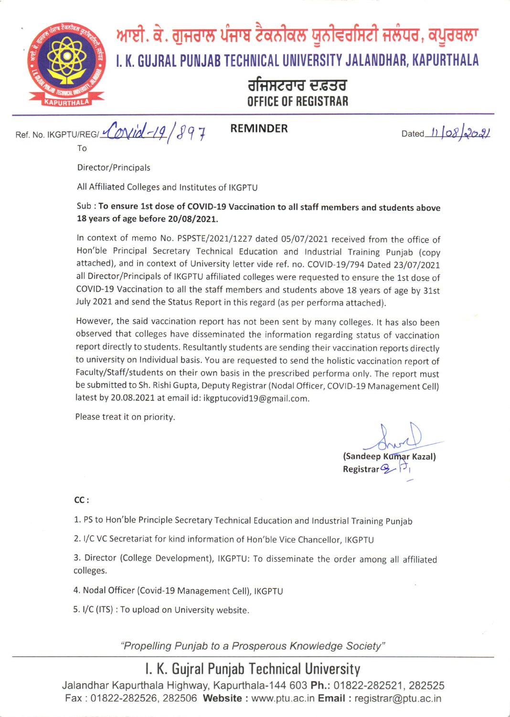

### ਆਈ. ਕੇ. ਗੁਜਰਾਲ ਪੰਜਾਬ ਟੈਕਨੀਕਲ ਯੂਨੀਵਰਸਿਟੀ ਜਲੰਧਰ, ਕਪੂਰਥਲਾ == I. K. GUJKAL PUNJAB TECHNICAL UNIVERSITY JALANUHAK, KAPUKTHALA

ਰਜਿਸਟਰਾਰ ਦਫ਼ਤਰ OFFICE OF REGISTRAR

Ref. No. IKGPTU/REG/ Covid-19/897

REMINDER

Dated  $11/08/202/$ 

To

Director/Principals

All Affiliated Colleges and Institutes of tKGpTU

#### Sub : To ensure 1st dose of COVID-19 Vaccination to all staff members and students above 18 years of age before 20/08/2021.

In context of memo No. PSPSTE/2021/1227 dated 05/07/2021 received from the office of Hon'ble Principal Secretary Technical Education and Industrial Training punjab (copy attached), and in context of University letter vide ref. no. COVID-19/794 Dated 23/07/2021 all Director/Principals of IKGPTU affiliated colleges were requested to ensure the 1st dose of COVID-19 Vaccination to all the staff members and students above 1g years of age by 31st July 2O2L and send the Status Report in this regard (as per performa attached).

However, the said vaccination report has not been sent by many colleges. lt has also been observed that colleges have disseminated the information regarding status of vaccination report directly to students. Resultantly students are sending their vaccination reports directly to university on Individual basis. You are requested to send the holistic vaccination report of Faculty/Staff/students on their own basis in the prescribed performa only. The report must be submitted to Sh. Rishi Gupta, Deputy Registrar (Nodal Officer, COVID-19 Management Cell) latest by 20.08.2021 at email id: ikgptucovid 19@gmail.com.

Please treat it on priority.

(Sandeep Kumar Kazal) Registrar $\mathcal{D}$ 

CC:

1. PS to Hon'ble Principle Secretary Technical Education and Industrial Training Punjab

2. I/C VC Secretariat for kind information of Hon'ble Vice Chancellor, IKGPTU

3. Director (College Development), IKGPTU: To disseminate the order among all affiliated colleges.

4. Nodal Officer (Covid-19 Management Cell), IKGPTU

5. l/C (lTS) : To upload on University website.

"Propelling Punjab to a Prosperous Knowledge Society"

## I. K. Gujral Punjab Technical University

Jalandhar Kapurthala Highway, Kapurthala-144 603 Ph.: 01822-282521, 282525 Fax: 01822-282526, 282506 Website: www.ptu.ac.in Email: registrar@ptu.ac.in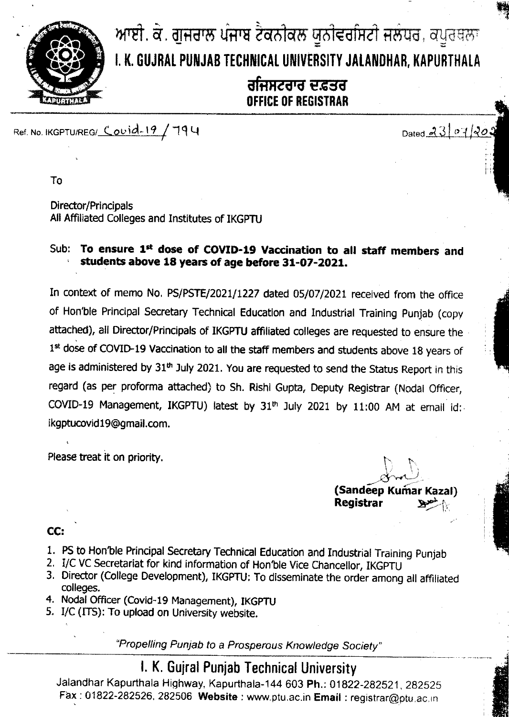

# ਆਈ. ਕੇ. <mark>ਗੁਜਰਾਲ ਪੰਜਾਬ ਟੈਕਨੀਕਲ ਯੂਨੀਵਰਸਿਟੀ ਜਲੰਧਰ</mark>, ਕਪੁਰਥਲਾ I. K. GUJRAL PUNJAB TECHNICAL UNIVERSITY JALANDHAR, KAPURTHALA

## ਰਜਿਸਟਰਾਰ ਦਫ਼ਤਰ **OFFICE OF REGISTRAR**

Ref. No. IKGPTU/REG/ Could-19 / 794

Dated  $-2301/20$ 

TO

Director/Principals All Affiliated Colleges and Institutes of IKGpTU

#### Sub: To ensure 1<sup>st</sup> dose of COVID-19 Vaccination to all staff members and students above 18 years of age before 31-07-2021.

In context of memo No, PS/PSTE/2021/1227 dated 05/07/2021 received from the office of Hon'ble Principal Secretary Technical Education and Industrial Training Punjab (copy attached), all Director/Principals of IKGPTU affiliated colleges are requested to ensure the 1st dose of COVID-19 Vaccination to all the staff members and students above 18 years of age is administered by 31<sup>th</sup> July 2021. You are requested to send the Status Report in this regard (as per proforma attached) to sh. Rishi Gupta, Deputy Registrar (Nodat officer, COVID-19 Management, IKGPTU) latest by  $31<sup>th</sup>$  July 2021 by 11:00 AM at email id: ikgptucovid 19@gmail.com.

Please treat it on priority.

 $\mathcal{S}$ m $\bigcup$ (Sandéep Kumar Kazal)<br>Registrar محمد

#### CC:

- 1. PS to Hon'ble Principal Secretary Technical Education and Industrial Training Punjab
- 2. I/C VC Secretariat for kind information of Hon'ble Vice Chancellor, IKGPTU
- 3. Director (College Development), IKGPTU; To disseminate the order amonq all affiliated colleges.
- 4. Nodal Officer (Covid-l9 Managernent), tKGFrfU
- 5. I/C (ITS): To upload on University website.

"Propelling Punjab to a Prosperous Knowledge Society"

## l. K. Gujral Punjab Technical University

Jalandhar Kapurthala Highway, Kapurthala-144 603 Ph.: 01822-282521, 282525 Fax: 01822-282526, 282506 Website : www.ptu.ac.in Email : registrar@ptu.ac.in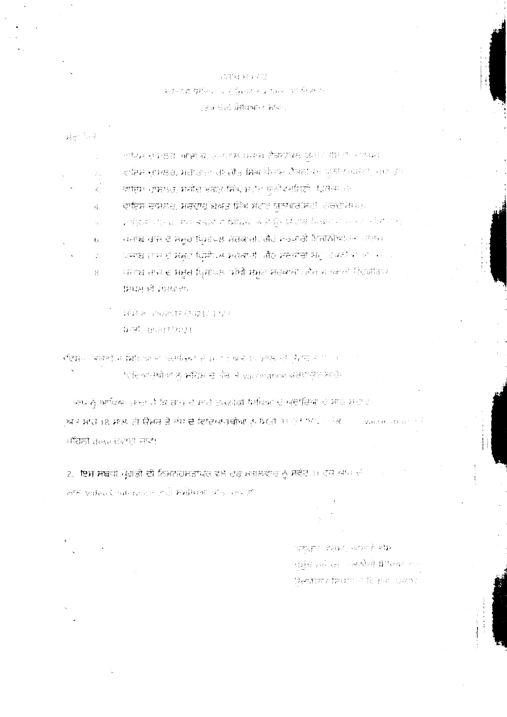#### (7) 7d 3 ( 1 7 %)

#### was not father with Gending taxes on Revenue (Bacted Billant) : White

 $\frac{1}{2} \lambda \frac{1}{2} \frac{m}{2} \left( 1 + \frac{1}{2} \lambda \right)$ 

|                      | ਹਾਇਲ ਦਾ ਸਨੁੱਖੋ - ਆਈ ਕਰਦਾਲਾਲ ਪਲਾਸ ਨੈਕਸਲਕਲ ਬਣਾਵਾ ਖੇਸ਼ ਦਾ ਜਨਪੰਜ                        |
|----------------------|-------------------------------------------------------------------------------------|
| R.                   | ਵਾਇਸ ਦਾਮਲਗ, ਮਰਾਫਾਜ਼ਾ ਰੋਗਰੀਤ ਸਿੰਘ ਪੰਜਾਬ ਵੈਬਲੀਕੁਜ਼ ਯੂਨੀਵਰਸਵੀ, ਬਾਨਰਾਮ                  |
| $\tilde{Z}_{\mu\nu}$ | ਵਾਇਸ ਹਾਸਲਗ, ਸੰਬੰਦ ਭਗਰ ਸਿੰਘ ਸਵੇਰ ਯੂਨੀਵਰਸਿਟੀ, ਫਿਰੋਰੀਪੁਰ                               |
| Ń.                   | ਵਾਇਸ ਦਾਸ਼ਨਗ, ਸਰਦਾਰ ਬੇਅਰ ਸਿੰਘ ਸਟਾਟ ਯੂਨੀਵਰਸਿਟੀ ਰਚਦਾਜਸ਼ਰ।                              |
| Ny.                  | Original company with a biling with the first control of a later of                 |
| €.                   | ਜਜ਼ਾਬ ਜ਼ਾਜ ਦੇ ਸਮੂਹ ਪ੍ਰਿੰਸ਼ੇਪਲ ਸਰਕਾਰੀ ਕੀਰੋ ਮਰਕਾਰੀ ਇਜੀਨੀਆਂ ਜਾਂ ਜਾਂਦਜ                  |
| $\sim 10^{11}$       | ਪੁ <del>ਕਾ</del> ਬ ਹਾਸ ਦੇ ਸਮੂਹ ਪ੍ਰਿੰਸੀਪਲ ਸਰਕਾਰੀ, ਗੈਰ ਸਟਕਾਰੀ ਸ਼ਹੂ ਤਕਨੀ ਦੇ ਤਾਂ, ਜਾਂ ਪ |
|                      | ਪਸਾਣ ਰਾਜ ਦੇ ਸਮਰ ਹਿਸਪਤ 'ਸੰਬੀ ਸਮਰ ਸਰਕਾਰੀ / ਹੁੰਚ ਹਰਕਾਰੀ ਪ੍ਰੋਗਸੀਰਪ                      |

(मिधास भी प्रोप्तावा ता)

详释 2015年8月7月22日 0-30 05/07/2021

ਦੱਲ੍ਹਸ਼ਮ, ਤਰਕੀਤਾ ਸਿੱਖਿਆ ਦੇ ਅਦਰਿਆ ਦੇ ਸ਼ਹਾਂ ਨਾਖ਼ਤ (ਪਰਦੁਲ ਹੀ ਕਿਸ਼ਨ 700 ਦੇ ਿੱਚਿ ਜਾਂਦਾਬੀਆਂ ਨੂੰ ਮਹਿੰਸ਼ ਦੀ ਤੌਰ 'ਤੇ vaccination ਕਰੋਬਾਲੇ?' ਸਾਰੇਜ

ਅਸ ਨੂੰ ਆਖਿਆ ਭਾਜ਼ਾ ਹੈ ਕਿ ਰਾਜ ਦੇ ਸਾਰੇ ਜ਼ਖ਼ਤੀਕੀ ਸਿਧਿਆ ਦੇ ਅਵਾਜ਼ਿਆਂ ਦੇ ਸਾਰੇ ਸਟਾਂਡ ,ਅਤੇ ਮਾਰੋਂ 18 ਸਾਲ ਵੀ ਉਮਰ ਤੇ ਵੱਧ ਦੇ ਫਿਵਿਆਰਥੀਆਂ ਨੂੰ ਪਿਤੀ 31 ਦੇ 1 ਅੱਜ <sup>ਦ</sup>ੱਕ .<br>Store it ex **ਪਹਿਲੀ dose ਉਦੇਸ਼ੀ ਜਾਵੇ।** 

2. **ਇਸ ਸਬੰ**ਧੀ ਪ੍ਰੋਗਤੀ ਦੀ ਨਿਸਨਰਸਤਾਪਤ ਵਲੋਂ ਹਰ ਮਗਲਵਾਰ ਨੂੰ ਸਵੇਰੇ 11 ਵੱਲੋਂ ਆਪ ਦੇ OFF VIDEO COULTRANCE AND FAIRLAS ROOM

> अस्तान जसम् त्यास हे छेम ਪ੍ਰਸ਼ੁੱਢ ਜਦੋਂ ਦਵੇਂ ਜਾਂ<del>ਦ</del>ਦੀਆਂ ਸਿੱਖਿਆ ਨਾ Webbina Bruntind (6, 300) shares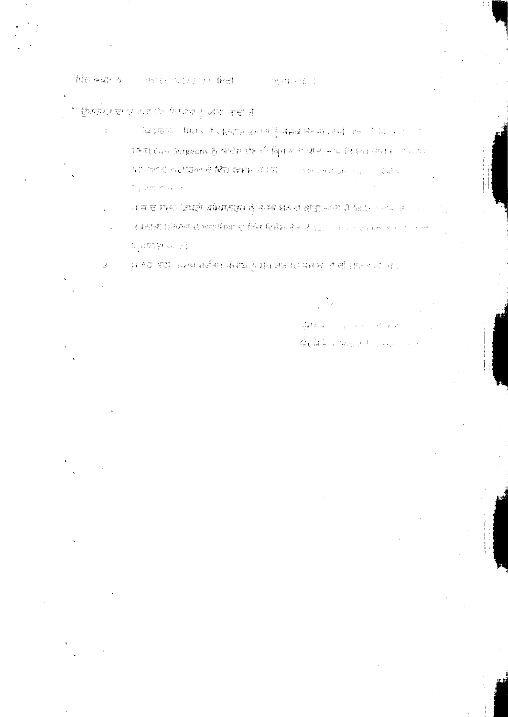ARE WARE AS THE PATER TWINTED IN THE THE 上海道完成于

ਕ੍ਰਿਕ੍ਰਿਸ਼ਨ ਦੀ ਜਾਂਦਾ ਹੋਣ ਸਿਰਜਾ ਨਾ ਕੀਤਾ ਜਾਂਦਾ ਹੈ

- ਾ, ਕਿ ਸੁਣ ਸ਼ਾਹ ਸਿਰਫ਼ ਵੇਂ ਪਹਿਲੀਜ਼ ਲੁਕਾਈ ਨੂੰ <del>ਪੰਜਕ</del> ਬੰਨ-ਸ਼ਹਨਾਂ ਕੀ ਹਾਂਦਾ ਹੈ ਕਿ ਸੁਰਹ ÷. -<br>ਸਮੂਹ Ged Surgeons ਨੂੰ ਆਦੇਸ਼ ਦੇਣ ਦੀ ਕ੍ਰਿਪਾਲ ਨੇ ਕੀ ਨੂੰ ਜਾਵੇ ਕਿ ਉਹ ਭਾਜ ਦੇ ਜਾਂਦਾ ਨਹੀਂ ਸ਼ਿਖਿਆ ਦੀ ਜਵਾ**ਰਿਆ ਦੇ ਵਿੱਚ ਵਿਸ਼ੇਸ਼** ਛੋਟੇ ਤੋਂ । । । > second un line । । (ਲੋੜੇ > Tulistan a le
- ਰਾਜ ਦੇ ਸਮੂਹ (ਡਾਪਰਾ *ਸ਼ੀ*ਮਾਲਰੂਜ ਨੇ ਭਜਝੇ ਬਾਨ ਦੇ ਭੀੜੀ ਜਨਾ ਹੈ ਕਿ ਉਹ ਦਾਜ ਦ
- ਤੁਕਨੀਕੀ ਮਿੱਸਲਾ ਦੇ ਆਧੁਕਿਸ ਦੇ ਵਿੱਚ ਵਿਸ਼ੇਸ਼ ਕੈਣ ਤੇ 2007 ਜਾਂਦਾ 70000 ਲੋਤ speak sold.
- ਸਪਾਰ ਅਧਾਨਕਾਂਥ ਸਕੱਤਰ ਕੰਜਾਬ ਨੂੰ ਸੰਘ ਸਕੰਪਰ ਪੰਜਾਬ ਦਾ ਦੀ ਦਾਣ ਵਾਰ ਕਿ.  $\overline{3}$

 $\frac{\partial}{\partial t} = \frac{\partial}{\partial t} \frac{\partial \phi}{\partial x}$ 

 $\mathcal{A}_{\bullet}(\pi_{\mathbb{Z},\mathbb{Z}}) = \mathbb{P}_{\mathbb{Z},\mathbb{Z}} \cap \mathbb{Z} \times \mathbb{Z} \times \mathbb{Z} \times \mathbb{Z}$ **Senations desearch to wo**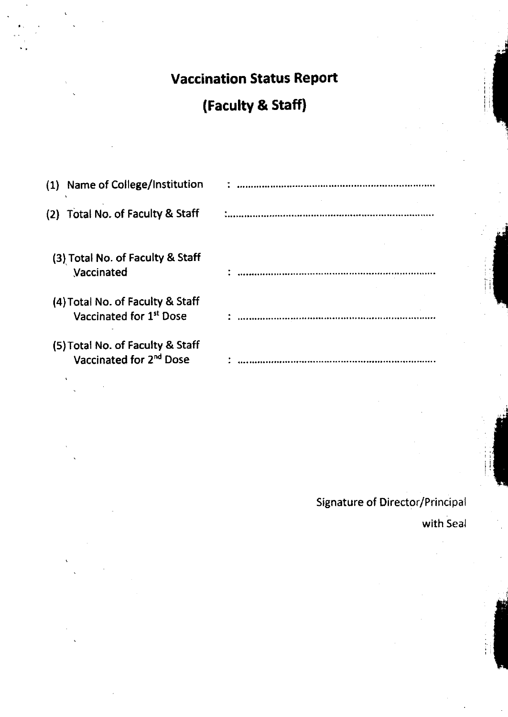# **Vaccination Status Report**

.

# {Faculty & Staff}

| (1) Name of College/Institution                                         |  |
|-------------------------------------------------------------------------|--|
| (2) Total No. of Faculty & Staff                                        |  |
| (3) Total No. of Faculty & Staff<br>Vaccinated                          |  |
| (4) Total No. of Faculty & Staff<br>Vaccinated for 1 <sup>st</sup> Dose |  |
| (5) Total No. of Faculty & Staff<br>Vaccinated for 2 <sup>nd</sup> Dose |  |

Signature of Director/Principal

with Seal

i

I